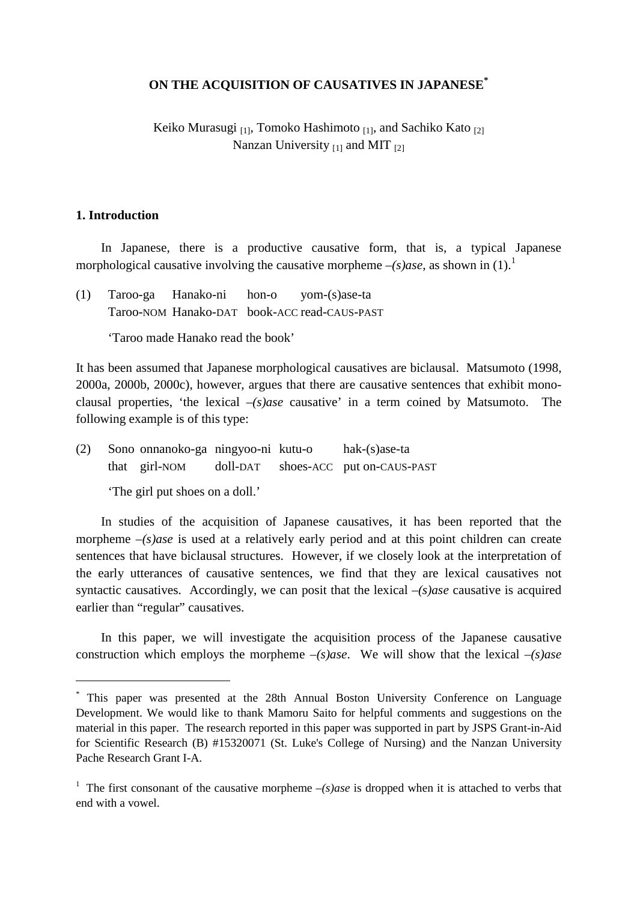### **ON THE ACQUISITION OF CAUSATIVES IN JAPANESE[\\*](#page-0-0)**

Keiko Murasugi  $_{[1]}$ , Tomoko Hashimoto  $_{[1]}$ , and Sachiko Kato  $_{[2]}$ Nanzan University  $_{[1]}$  and MIT  $_{[2]}$ 

#### **1. Introduction**

 $\overline{\phantom{a}}$ 

In Japanese, there is a productive causative form, that is, a typical Japanese morphological causative involving the causative morpheme  $-(s)$  as a shown in  $(1)$  $(1)$  $(1)$ .<sup>1</sup>

(1) Taroo-ga Hanako-ni hon-o yom-(s)ase-ta Taroo-NOM Hanako-DAT book-ACC read-CAUS-PAST

'Taroo made Hanako read the book'

It has been assumed that Japanese morphological causatives are biclausal. Matsumoto (1998, 2000a, 2000b, 2000c), however, argues that there are causative sentences that exhibit monoclausal properties, 'the lexical *–(s)ase* causative' in a term coined by Matsumoto. The following example is of this type:

(2) Sono onnanoko-ga ningyoo-ni kutu-o hak-(s)ase-ta that girl-NOM doll-DAT shoes-ACC put on-CAUS-PAST

'The girl put shoes on a doll.'

In studies of the acquisition of Japanese causatives, it has been reported that the morpheme  $-(s)$ *ase* is used at a relatively early period and at this point children can create sentences that have biclausal structures. However, if we closely look at the interpretation of the early utterances of causative sentences, we find that they are lexical causatives not syntactic causatives. Accordingly, we can posit that the lexical *–(s)ase* causative is acquired earlier than "regular" causatives.

In this paper, we will investigate the acquisition process of the Japanese causative construction which employs the morpheme *–(s)ase*. We will show that the lexical *–(s)ase*

<span id="page-0-0"></span><sup>\*</sup> This paper was presented at the 28th Annual Boston University Conference on Language Development. We would like to thank Mamoru Saito for helpful comments and suggestions on the material in this paper. The research reported in this paper was supported in part by JSPS Grant-in-Aid for Scientific Research (B) #15320071 (St. Luke's College of Nursing) and the Nanzan University Pache Research Grant I-A.

<span id="page-0-1"></span><sup>&</sup>lt;sup>1</sup> The first consonant of the causative morpheme  $-(s)$  ase is dropped when it is attached to verbs that end with a vowel.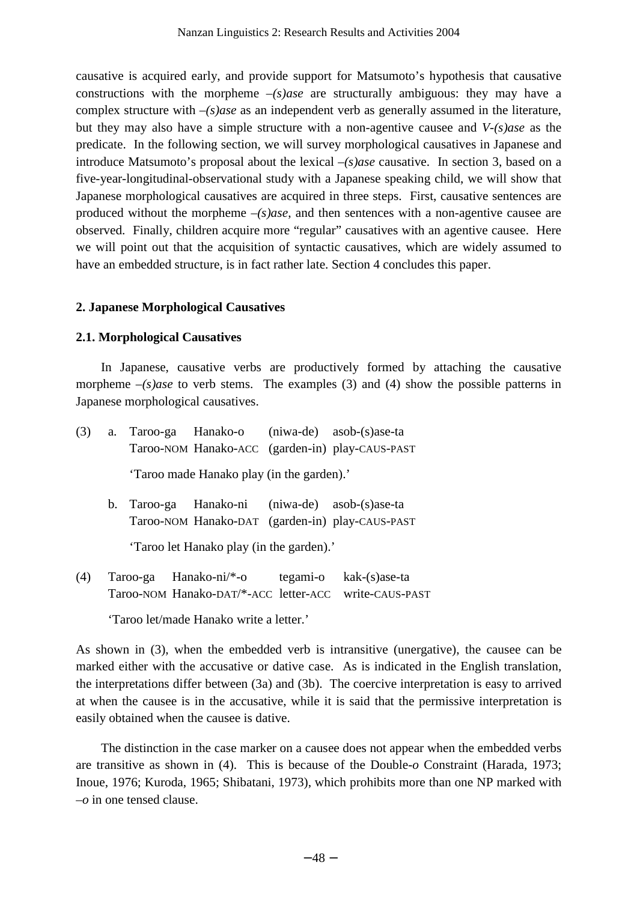causative is acquired early, and provide support for Matsumoto's hypothesis that causative constructions with the morpheme *–(s)ase* are structurally ambiguous: they may have a complex structure with *–(s)ase* as an independent verb as generally assumed in the literature, but they may also have a simple structure with a non-agentive causee and *V-(s)ase* as the predicate. In the following section, we will survey morphological causatives in Japanese and introduce Matsumoto's proposal about the lexical *–(s)ase* causative. In section 3, based on a five-year-longitudinal-observational study with a Japanese speaking child, we will show that Japanese morphological causatives are acquired in three steps. First, causative sentences are produced without the morpheme *–(s)ase*, and then sentences with a non-agentive causee are observed. Finally, children acquire more "regular" causatives with an agentive causee. Here we will point out that the acquisition of syntactic causatives, which are widely assumed to have an embedded structure, is in fact rather late. Section 4 concludes this paper.

## **2. Japanese Morphological Causatives**

## **2.1. Morphological Causatives**

In Japanese, causative verbs are productively formed by attaching the causative morpheme  $-(s)$ *ase* to verb stems. The examples (3) and (4) show the possible patterns in Japanese morphological causatives.

| (3) |                                          |                                           |  | a. Taroo-ga Hanako-o (niwa-de) asob-(s)ase-ta                                                     |  |  |
|-----|------------------------------------------|-------------------------------------------|--|---------------------------------------------------------------------------------------------------|--|--|
|     |                                          |                                           |  | Taroo-NOM Hanako-ACC (garden-in) play-CAUS-PAST                                                   |  |  |
|     |                                          | 'Taroo made Hanako play (in the garden).' |  |                                                                                                   |  |  |
|     |                                          |                                           |  | b. Taroo-ga Hanako-ni (niwa-de) asob-(s)ase-ta<br>Taroo-NOM Hanako-DAT (garden-in) play-CAUS-PAST |  |  |
|     | 'Taroo let Hanako play (in the garden).' |                                           |  |                                                                                                   |  |  |

(4) Taroo-ga Hanako-ni/\*-o tegami-o kak-(s)ase-ta Taroo-NOM Hanako-DAT/\*-ACC letter-ACC write-CAUS-PAST

'Taroo let/made Hanako write a letter.'

As shown in (3), when the embedded verb is intransitive (unergative), the causee can be marked either with the accusative or dative case. As is indicated in the English translation, the interpretations differ between (3a) and (3b). The coercive interpretation is easy to arrived at when the causee is in the accusative, while it is said that the permissive interpretation is easily obtained when the causee is dative.

The distinction in the case marker on a causee does not appear when the embedded verbs are transitive as shown in (4). This is because of the Double*-o* Constraint (Harada, 1973; Inoue, 1976; Kuroda, 1965; Shibatani, 1973), which prohibits more than one NP marked with *–o* in one tensed clause.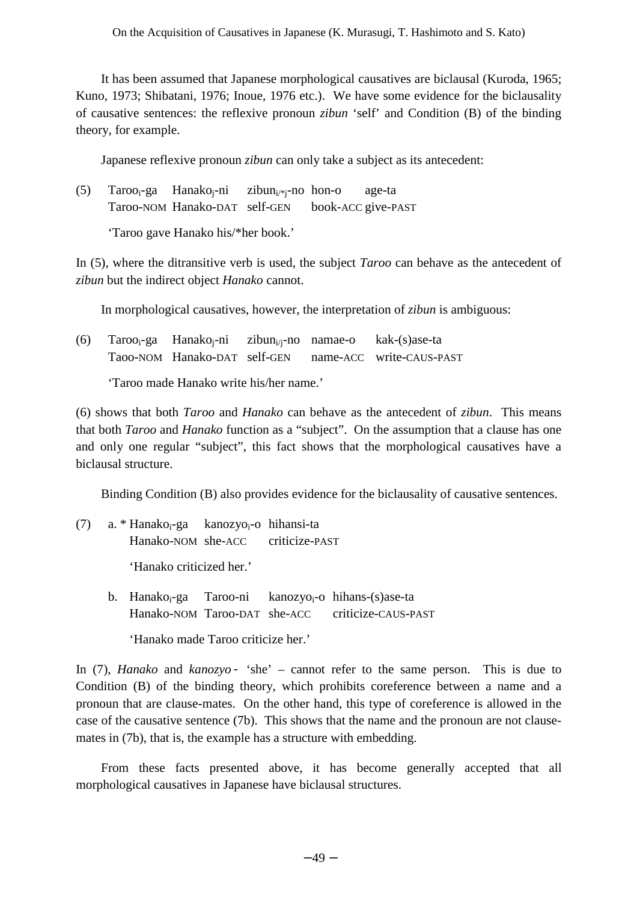It has been assumed that Japanese morphological causatives are biclausal (Kuroda, 1965; Kuno, 1973; Shibatani, 1976; Inoue, 1976 etc.). We have some evidence for the biclausality of causative sentences: the reflexive pronoun *zibun* 'self' and Condition (B) of the binding theory, for example.

Japanese reflexive pronoun *zibun* can only take a subject as its antecedent:

| (5) | $Taroo_i-ga$ Hanako <sub>i</sub> -ni zibun <sub>i/*i</sub> -no hon-o |  | age-ta             |
|-----|----------------------------------------------------------------------|--|--------------------|
|     | Taroo-NOM Hanako-DAT self-GEN                                        |  | book-ACC give-PAST |

'Taroo gave Hanako his/\*her book.'

In (5), where the ditransitive verb is used, the subject *Taroo* can behave as the antecedent of *zibun* but the indirect object *Hanako* cannot.

In morphological causatives, however, the interpretation of *zibun* is ambiguous:

|  | (6) Taroo <sub>i</sub> -ga Hanako <sub>i</sub> -ni zibun <sub>i/i</sub> -no namae-o kak-(s)ase-ta |  |                                                       |
|--|---------------------------------------------------------------------------------------------------|--|-------------------------------------------------------|
|  |                                                                                                   |  | Taoo-NOM Hanako-DAT self-GEN name-ACC write-CAUS-PAST |

'Taroo made Hanako write his/her name.'

(6) shows that both *Taroo* and *Hanako* can behave as the antecedent of *zibun*. This means that both *Taroo* and *Hanako* function as a "subject". On the assumption that a clause has one and only one regular "subject", this fact shows that the morphological causatives have a biclausal structure.

Binding Condition (B) also provides evidence for the biclausality of causative sentences.

- (7) a. \* Hanakoi-ga kanozyoi-o hihansi-ta Hanako-NOM she-ACC criticize-PAST 'Hanako criticized her.'
	- b. Hanako<sub>i</sub>-ga Taroo-ni kanozyo<sub>i</sub>-o hihans-(s)ase-ta Hanako-NOM Taroo-DAT she-ACC criticize-CAUS-PAST 'Hanako made Taroo criticize her.'

In (7), *Hanako* and *kanozyo* 'she' – cannot refer to the same person. This is due to Condition (B) of the binding theory, which prohibits coreference between a name and a pronoun that are clause-mates. On the other hand, this type of coreference is allowed in the case of the causative sentence (7b). This shows that the name and the pronoun are not clausemates in (7b), that is, the example has a structure with embedding.

From these facts presented above, it has become generally accepted that all morphological causatives in Japanese have biclausal structures.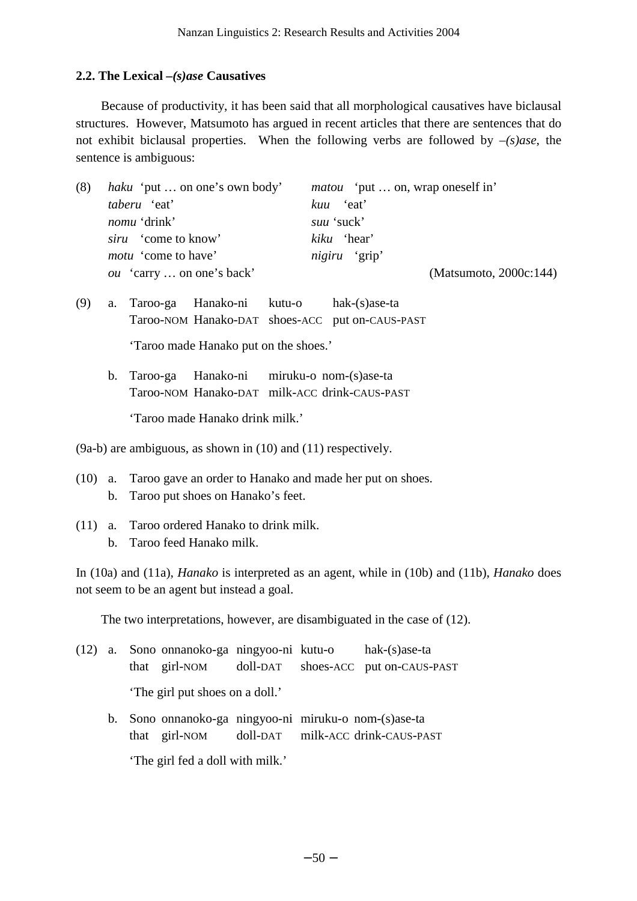# **2.2. The Lexical** *–(s)ase* **Causatives**

Because of productivity, it has been said that all morphological causatives have biclausal structures. However, Matsumoto has argued in recent articles that there are sentences that do not exhibit biclausal properties. When the following verbs are followed by *–(s)ase*, the sentence is ambiguous:

| (8) | <i>haku</i> 'put  on one's own body' | <i>matou</i> 'put  on, wrap oneself in' |
|-----|--------------------------------------|-----------------------------------------|
|     | <i>taberu</i> 'eat'                  | kuu 'eat'                               |
|     | <i>nomu</i> 'drink'                  | suu 'suck'                              |
|     | <i>siru</i> 'come to know'           | kiku 'hear'                             |
|     | <i>motu</i> 'come to have'           | <i>nigiru</i> 'grip'                    |
|     | <i>ou</i> 'carry  on one's back'     | (Matsumoto, 2000c:144)                  |
|     |                                      |                                         |

- (9) a. Taroo-ga Hanako-ni kutu-o hak-(s)ase-ta Taroo-NOM Hanako-DAT shoes-ACC put on-CAUS-PAST 'Taroo made Hanako put on the shoes.'
	- b. Taroo-ga Hanako-ni miruku-o nom-(s)ase-ta Taroo-NOM Hanako-DAT milk-ACC drink-CAUS-PAST 'Taroo made Hanako drink milk.'

- (10) a. Taroo gave an order to Hanako and made her put on shoes. b. Taroo put shoes on Hanako's feet.
- (11) a. Taroo ordered Hanako to drink milk. b. Taroo feed Hanako milk.

In (10a) and (11a), *Hanako* is interpreted as an agent, while in (10b) and (11b), *Hanako* does not seem to be an agent but instead a goal.

The two interpretations, however, are disambiguated in the case of (12).

|  |                                                       |  | (12) a. Sono onnanoko-ga ningyoo-ni kutu-o hak-(s) ase-ta |
|--|-------------------------------------------------------|--|-----------------------------------------------------------|
|  |                                                       |  | that girl-NOM doll-DAT shoes-ACC put on-CAUS-PAST         |
|  | 'The girl put shoes on a doll.'                       |  |                                                           |
|  | b. Sono onnanoko-ga ningyoo-ni miruku-o nom-(s)ase-ta |  |                                                           |

that girl-NOM doll-DAT milk-ACC drink-CAUS-PAST

'The girl fed a doll with milk.'

<sup>(9</sup>a-b) are ambiguous, as shown in (10) and (11) respectively.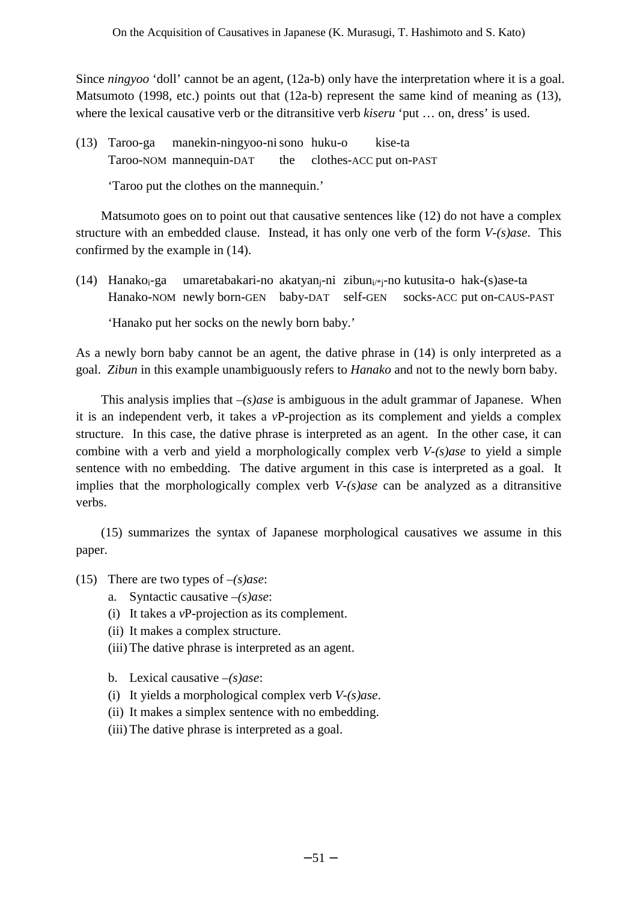Since *ningyoo* 'doll' cannot be an agent, (12a-b) only have the interpretation where it is a goal. Matsumoto (1998, etc.) points out that  $(12a-b)$  represent the same kind of meaning as  $(13)$ , where the lexical causative verb or the ditransitive verb *kiseru* 'put … on, dress' is used.

(13) Taroo-ga manekin-ningyoo-ni sono huku-o kise-ta Taroo-NOM mannequin-DAT the clothes-ACC put on-PAST

'Taroo put the clothes on the mannequin.'

Matsumoto goes on to point out that causative sentences like (12) do not have a complex structure with an embedded clause. Instead, it has only one verb of the form *V-(s)ase*. This confirmed by the example in (14).

(14) Hanako<sub>i</sub>-ga umaretabakari-no akatyan<sub>i</sub>-ni zibun<sub>i/\*i</sub>-no kutusita-o hak-(s)ase-ta Hanako-NOM newly born-GEN baby-DAT self-GEN socks-ACC put on-CAUS-PAST

'Hanako put her socks on the newly born baby.'

As a newly born baby cannot be an agent, the dative phrase in (14) is only interpreted as a goal. *Zibun* in this example unambiguously refers to *Hanako* and not to the newly born baby.

This analysis implies that *–(s)ase* is ambiguous in the adult grammar of Japanese. When it is an independent verb, it takes a *v*P-projection as its complement and yields a complex structure. In this case, the dative phrase is interpreted as an agent. In the other case, it can combine with a verb and yield a morphologically complex verb *V-(s)ase* to yield a simple sentence with no embedding. The dative argument in this case is interpreted as a goal. It implies that the morphologically complex verb *V-(s)ase* can be analyzed as a ditransitive verbs.

(15) summarizes the syntax of Japanese morphological causatives we assume in this paper.

- (15) There are two types of *–(s)ase*:
	- a. Syntactic causative *–(s)ase*:
	- (i) It takes a *v*P-projection as its complement.
	- (ii) It makes a complex structure.
	- (iii) The dative phrase is interpreted as an agent.
	- b. Lexical causative *–(s)ase*:
	- (i) It yields a morphological complex verb *V-(s)ase*.
	- (ii) It makes a simplex sentence with no embedding.
	- (iii) The dative phrase is interpreted as a goal.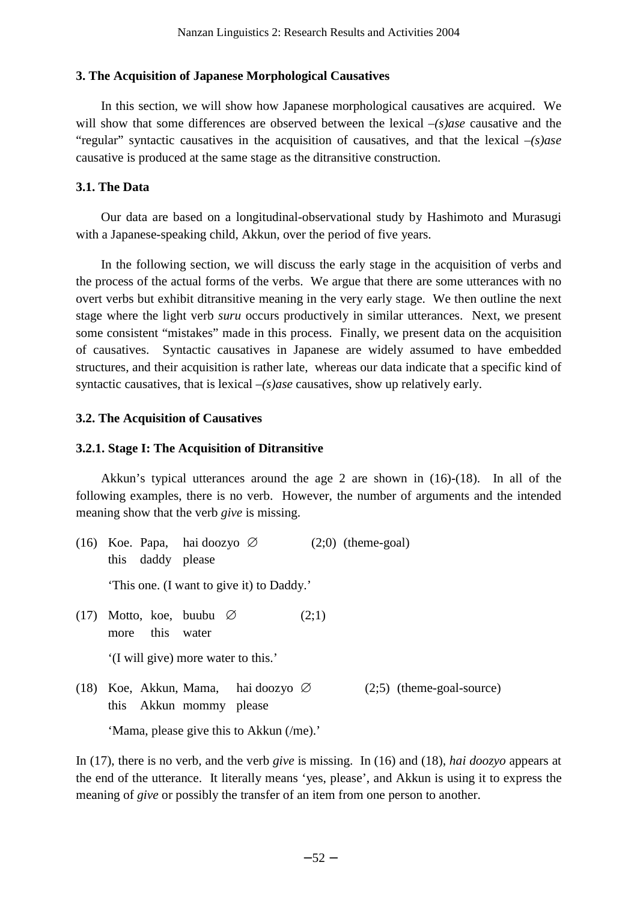## **3. The Acquisition of Japanese Morphological Causatives**

In this section, we will show how Japanese morphological causatives are acquired. We will show that some differences are observed between the lexical *–(s)ase* causative and the "regular" syntactic causatives in the acquisition of causatives, and that the lexical *–(s)ase* causative is produced at the same stage as the ditransitive construction.

## **3.1. The Data**

Our data are based on a longitudinal-observational study by Hashimoto and Murasugi with a Japanese-speaking child, Akkun, over the period of five years.

In the following section, we will discuss the early stage in the acquisition of verbs and the process of the actual forms of the verbs. We argue that there are some utterances with no overt verbs but exhibit ditransitive meaning in the very early stage. We then outline the next stage where the light verb *suru* occurs productively in similar utterances. Next, we present some consistent "mistakes" made in this process. Finally, we present data on the acquisition of causatives. Syntactic causatives in Japanese are widely assumed to have embedded structures, and their acquisition is rather late, whereas our data indicate that a specific kind of syntactic causatives, that is lexical *–(s)ase* causatives, show up relatively early.

# **3.2. The Acquisition of Causatives**

## **3.2.1. Stage I: The Acquisition of Ditransitive**

Akkun's typical utterances around the age 2 are shown in (16)-(18). In all of the following examples, there is no verb. However, the number of arguments and the intended meaning show that the verb *give* is missing.

|      | (16) Koe. Papa, hai doozyo $\varnothing$<br>this daddy please              |  |       | $(2,0)$ (theme-goal) |                             |  |
|------|----------------------------------------------------------------------------|--|-------|----------------------|-----------------------------|--|
|      | 'This one. (I want to give it) to Daddy.'                                  |  |       |                      |                             |  |
| (17) | Motto, koe, buubu $\varnothing$<br>more this water                         |  | (2;1) |                      |                             |  |
|      | '(I will give) more water to this.'                                        |  |       |                      |                             |  |
|      | (18) Koe, Akkun, Mama, hai doozyo $\varnothing$<br>this Akkun mommy please |  |       |                      | $(2,5)$ (theme-goal-source) |  |
|      | 'Mama, please give this to Akkun (/me).'                                   |  |       |                      |                             |  |

In (17), there is no verb, and the verb *give* is missing. In (16) and (18), *hai doozyo* appears at the end of the utterance. It literally means 'yes, please', and Akkun is using it to express the meaning of *give* or possibly the transfer of an item from one person to another.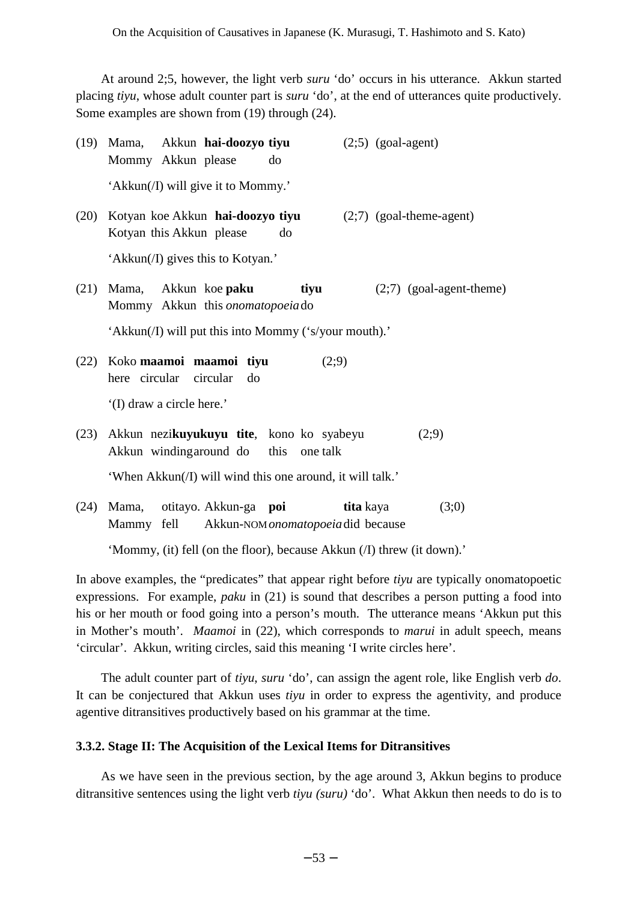At around 2;5, however, the light verb *suru* 'do' occurs in his utterance. Akkun started placing *tiyu*, whose adult counter part is *suru* 'do', at the end of utterances quite productively. Some examples are shown from (19) through (24).

|      | (19) Mama, Akkun hai-doozyo tiyu<br>$(2,5)$ (goal-agent)<br>Mommy Akkun please<br>do             |                            |
|------|--------------------------------------------------------------------------------------------------|----------------------------|
|      | 'Akkun(/I) will give it to Mommy.'                                                               |                            |
| (20) | Kotyan koe Akkun hai-doozyo tiyu<br>Kotyan this Akkun please<br>do                               | $(2,7)$ (goal-theme-agent) |
|      | 'Akkun(/I) gives this to Kotyan.'                                                                |                            |
| (21) | Mama, Akkun koe paku<br>tiyu<br>Mommy Akkun this onomatopoeia do                                 | $(2,7)$ (goal-agent-theme) |
|      | 'Akkun(/I) will put this into Mommy ('s/your mouth).'                                            |                            |
| (22) | Koko maamoi maamoi tiyu<br>(2,9)<br>here circular circular<br>do                                 |                            |
|      | '(I) draw a circle here.'                                                                        |                            |
| (23) | Akkun nezikuyukuyu tite, kono ko syabeyu<br>Akkun windingaround do this one talk                 | (2,9)                      |
|      | 'When Akkun(/I) will wind this one around, it will talk.'                                        |                            |
| (24) | Mama, otitayo. Akkun-ga <b>poi</b><br>tita kaya<br>Mammy fell Akkun-NOM onomatopoeia did because | (3;0)                      |

'Mommy, (it) fell (on the floor), because Akkun (/I) threw (it down).'

In above examples, the "predicates" that appear right before *tiyu* are typically onomatopoetic expressions. For example, *paku* in (21) is sound that describes a person putting a food into his or her mouth or food going into a person's mouth. The utterance means 'Akkun put this in Mother's mouth'. *Maamoi* in (22), which corresponds to *marui* in adult speech, means 'circular'. Akkun, writing circles, said this meaning 'I write circles here'.

The adult counter part of *tiyu*, *suru* 'do', can assign the agent role, like English verb *do*. It can be conjectured that Akkun uses *tiyu* in order to express the agentivity, and produce agentive ditransitives productively based on his grammar at the time.

### **3.3.2. Stage II: The Acquisition of the Lexical Items for Ditransitives**

As we have seen in the previous section, by the age around 3, Akkun begins to produce ditransitive sentences using the light verb *tiyu (suru)* 'do'. What Akkun then needs to do is to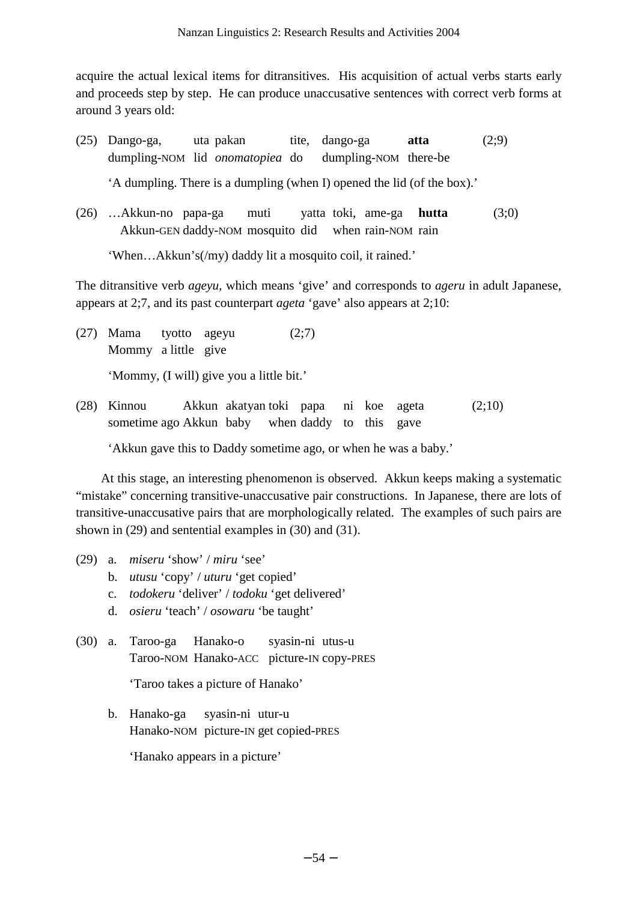acquire the actual lexical items for ditransitives. His acquisition of actual verbs starts early and proceeds step by step. He can produce unaccusative sentences with correct verb forms at around 3 years old:

- (25) Dango-ga, uta pakan tite, dango-ga **atta** (2;9) dumpling-NOM lid *onomatopiea* do dumpling-NOM there-be 'A dumpling. There is a dumpling (when I) opened the lid (of the box).'
- (26) …Akkun-no papa-ga muti yatta toki, ame-ga **hutta** (3;0) Akkun-GEN daddy-NOM mosquito did when rain-NOM rain

'When…Akkun's(/my) daddy lit a mosquito coil, it rained.'

The ditransitive verb *ageyu*, which means 'give' and corresponds to *ageru* in adult Japanese, appears at 2;7, and its past counterpart *ageta* 'gave' also appears at 2;10:

- (27) Mama tyotto ageyu (2;7) Mommy a little give 'Mommy, (I will) give you a little bit.'
- (28) Kinnou Akkun akatyan toki papa ni koe ageta (2;10) sometime ago Akkun baby when daddy to this gave

'Akkun gave this to Daddy sometime ago, or when he was a baby.'

At this stage, an interesting phenomenon is observed. Akkun keeps making a systematic "mistake" concerning transitive-unaccusative pair constructions. In Japanese, there are lots of transitive-unaccusative pairs that are morphologically related. The examples of such pairs are shown in (29) and sentential examples in (30) and (31).

- (29) a. *miseru* 'show' / *miru* 'see'
	- b. *utusu* 'copy' / *uturu* 'get copied'
	- c. *todokeru* 'deliver' / *todoku* 'get delivered'
	- d. *osieru* 'teach' / *osowaru* 'be taught'
- (30) a. Taroo-ga Hanako-o syasin-ni utus-u Taroo-NOM Hanako-ACC picture-IN copy-PRES

'Taroo takes a picture of Hanako'

 b. Hanako-ga syasin-ni utur-u Hanako-NOM picture-IN get copied-PRES

'Hanako appears in a picture'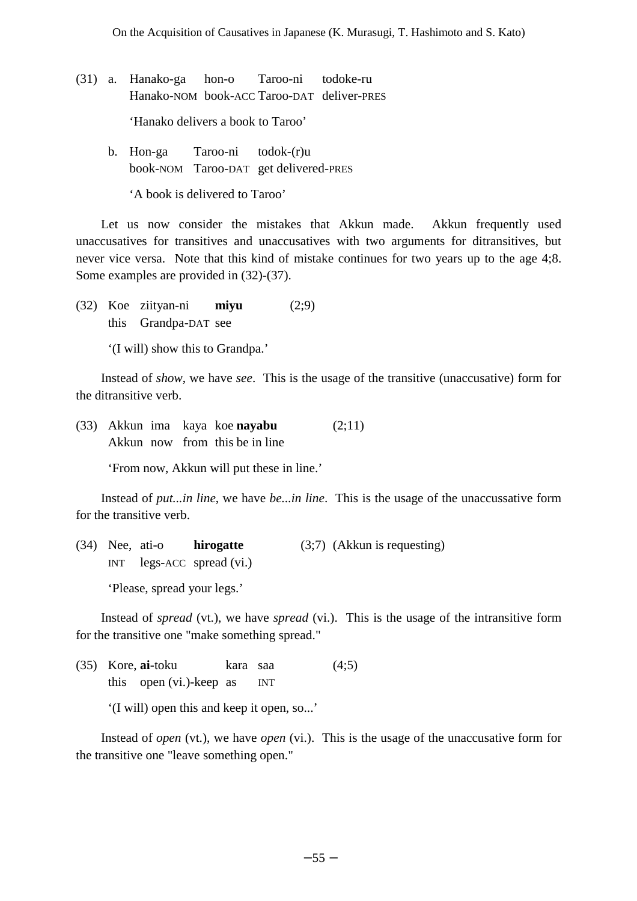- (31) a. Hanako-ga hon-o Taroo-ni todoke-ru Hanako-NOM book-ACC Taroo-DAT deliver-PRES 'Hanako delivers a book to Taroo'
	- b. Hon-ga Taroo-ni todok-(r)u book-NOM Taroo-DAT get delivered-PRES

'A book is delivered to Taroo'

Let us now consider the mistakes that Akkun made. Akkun frequently used unaccusatives for transitives and unaccusatives with two arguments for ditransitives, but never vice versa. Note that this kind of mistake continues for two years up to the age 4;8. Some examples are provided in (32)-(37).

(32) Koe ziityan-ni **miyu** (2;9) this Grandpa-DAT see

'(I will) show this to Grandpa.'

Instead of *show*, we have *see*. This is the usage of the transitive (unaccusative) form for the ditransitive verb.

(33) Akkun ima kaya koe **nayabu** (2;11) Akkun now from this be in line

'From now, Akkun will put these in line.'

Instead of *put...in line*, we have *be...in line*. This is the usage of the unaccussative form for the transitive verb.

(34) Nee, ati-o **hirogatte** (3;7) (Akkun is requesting) INT legs-ACC spread (vi.)

'Please, spread your legs.'

Instead of *spread* (vt.), we have *spread* (vi.). This is the usage of the intransitive form for the transitive one "make something spread."

(35) Kore, **ai**-toku kara saa (4;5) this open (vi.)-keep as INT

'(I will) open this and keep it open, so...'

Instead of *open* (vt.), we have *open* (vi.). This is the usage of the unaccusative form for the transitive one "leave something open."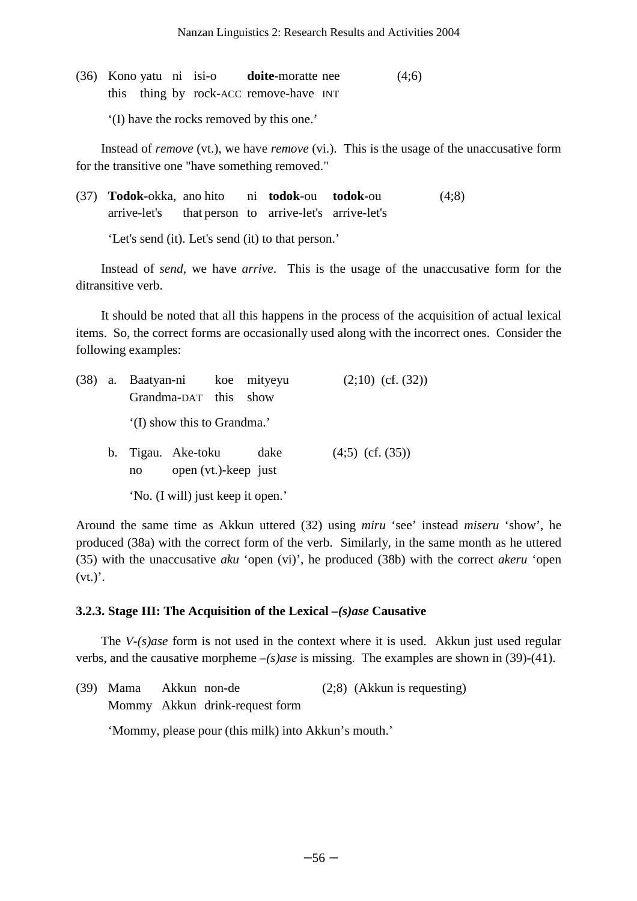(36) Kono yatu ni isi-o **doite**-moratte nee (4;6) this thing by rock-ACC remove-have INT

'(I) have the rocks removed by this one.'

Instead of *remove* (vt.), we have *remove* (vi.). This is the usage of the unaccusative form for the transitive one "have something removed."

(37) **Todok**-okka, ano hito ni **todok**-ou **todok**-ou (4;8) arrive-let's that person to arrive-let's arrive-let's

'Let's send (it). Let's send (it) to that person.'

Instead of *send*, we have *arrive*. This is the usage of the unaccusative form for the ditransitive verb.

It should be noted that all this happens in the process of the acquisition of actual lexical items. So, the correct forms are occasionally used along with the incorrect ones. Consider the following examples:

|  | (38) a. Baatyan-ni koe mityeyu<br>Grandma-DAT this show                           |  |  | $(2,10)$ (cf. $(32)$ ) |  |  |
|--|-----------------------------------------------------------------------------------|--|--|------------------------|--|--|
|  | (I) show this to Grandma.'                                                        |  |  |                        |  |  |
|  | b. Tigau. Ake-toku<br>dake<br>$(4,5)$ (cf. $(35)$ )<br>open (vt.)-keep just<br>no |  |  |                        |  |  |
|  | 'No. (I will) just keep it open.'                                                 |  |  |                        |  |  |

Around the same time as Akkun uttered (32) using *miru* 'see' instead *miseru* 'show', he produced (38a) with the correct form of the verb. Similarly, in the same month as he uttered (35) with the unaccusative *aku* 'open (vi)', he produced (38b) with the correct *akeru* 'open  $(vt.)$ .

# **3.2.3. Stage III: The Acquisition of the Lexical** *–(s)ase* **Causative**

The *V-(s)ase* form is not used in the context where it is used. Akkun just used regular verbs, and the causative morpheme *–(s)ase* is missing. The examples are shown in (39)-(41).

| (39) Mama Akkun non-de |                                | $(2,8)$ (Akkun is requesting) |
|------------------------|--------------------------------|-------------------------------|
|                        | Mommy Akkun drink-request form |                               |

'Mommy, please pour (this milk) into Akkun's mouth.'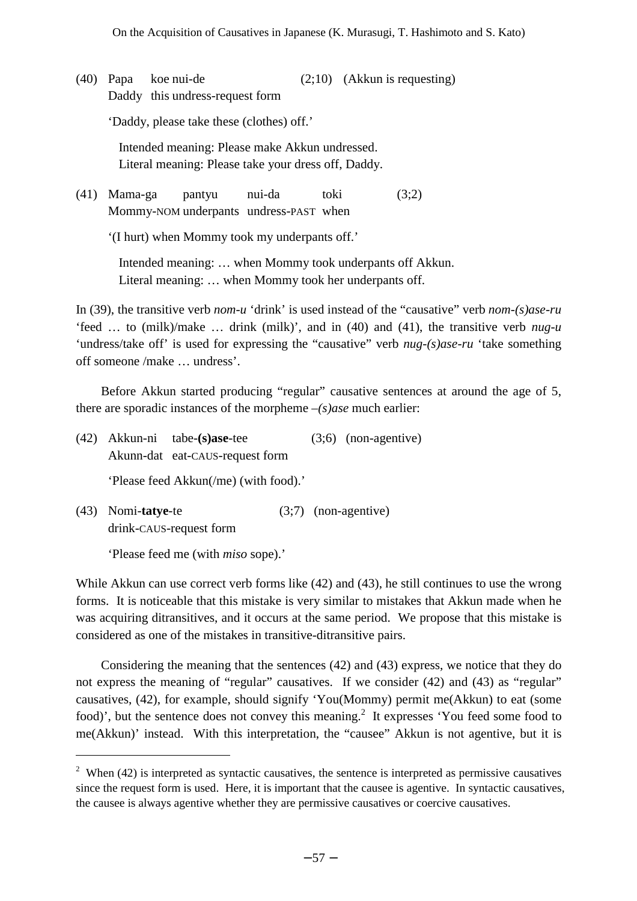(40) Papa koe nui-de (2;10) (Akkun is requesting) Daddy this undress-request form 'Daddy, please take these (clothes) off.' Intended meaning: Please make Akkun undressed. Literal meaning: Please take your dress off, Daddy. (41) Mama-ga pantyu nui-da toki (3;2) Mommy-NOM underpants undress-PAST when

'(I hurt) when Mommy took my underpants off.'

Intended meaning: … when Mommy took underpants off Akkun. Literal meaning: … when Mommy took her underpants off.

In (39), the transitive verb *nom-u* 'drink' is used instead of the "causative" verb *nom-(s)ase-ru* 'feed … to (milk)/make … drink (milk)', and in (40) and (41), the transitive verb *nug-u* 'undress/take off' is used for expressing the "causative" verb *nug-(s)ase-ru* 'take something off someone /make … undress'.

Before Akkun started producing "regular" causative sentences at around the age of 5, there are sporadic instances of the morpheme *–(s)ase* much earlier:

|  | $(42)$ Akkun-ni tabe-(s)ase-tee       | $(3,6)$ (non-agentive) |
|--|---------------------------------------|------------------------|
|  | Akunn-dat eat-CAUS-request form       |                        |
|  | 'Please feed Akkun(/me) (with food).' |                        |

(43) Nomi-**tatye**-te (3;7) (non-agentive) drink-CAUS-request form

'Please feed me (with *miso* sope).'

 $\overline{a}$ 

While Akkun can use correct verb forms like (42) and (43), he still continues to use the wrong forms. It is noticeable that this mistake is very similar to mistakes that Akkun made when he was acquiring ditransitives, and it occurs at the same period. We propose that this mistake is considered as one of the mistakes in transitive-ditransitive pairs.

Considering the meaning that the sentences (42) and (43) express, we notice that they do not express the meaning of "regular" causatives. If we consider (42) and (43) as "regular" causatives, (42), for example, should signify 'You(Mommy) permit me(Akkun) to eat (some food)', but the sentence does not convey this meaning.<sup>[2](#page-10-0)</sup> It expresses 'You feed some food to me(Akkun)' instead. With this interpretation, the "causee" Akkun is not agentive, but it is

<span id="page-10-0"></span><sup>&</sup>lt;sup>2</sup> When (42) is interpreted as syntactic causatives, the sentence is interpreted as permissive causatives since the request form is used. Here, it is important that the causee is agentive. In syntactic causatives, the causee is always agentive whether they are permissive causatives or coercive causatives.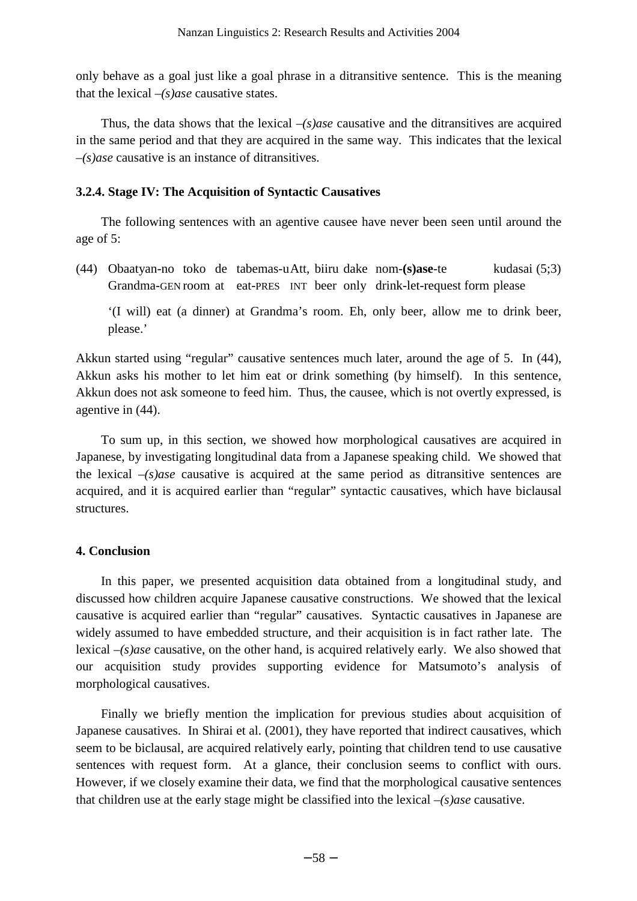only behave as a goal just like a goal phrase in a ditransitive sentence. This is the meaning that the lexical *–(s)ase* causative states.

Thus, the data shows that the lexical *–(s)ase* causative and the ditransitives are acquired in the same period and that they are acquired in the same way. This indicates that the lexical *–(s)ase* causative is an instance of ditransitives.

#### **3.2.4. Stage IV: The Acquisition of Syntactic Causatives**

The following sentences with an agentive causee have never been seen until around the age of 5:

(44) Obaatyan-no toko de tabemas-u Att, biiru dake nom-**(s)ase**-te kudasai (5;3) Grandma-GEN room at eat-PRES INT beer only drink-let-request form please

'(I will) eat (a dinner) at Grandma's room. Eh, only beer, allow me to drink beer, please.'

Akkun started using "regular" causative sentences much later, around the age of 5. In (44), Akkun asks his mother to let him eat or drink something (by himself). In this sentence, Akkun does not ask someone to feed him. Thus, the causee, which is not overtly expressed, is agentive in (44).

To sum up, in this section, we showed how morphological causatives are acquired in Japanese, by investigating longitudinal data from a Japanese speaking child. We showed that the lexical *–(s)ase* causative is acquired at the same period as ditransitive sentences are acquired, and it is acquired earlier than "regular" syntactic causatives, which have biclausal structures.

### **4. Conclusion**

In this paper, we presented acquisition data obtained from a longitudinal study, and discussed how children acquire Japanese causative constructions. We showed that the lexical causative is acquired earlier than "regular" causatives. Syntactic causatives in Japanese are widely assumed to have embedded structure, and their acquisition is in fact rather late. The lexical *–(s)ase* causative, on the other hand, is acquired relatively early. We also showed that our acquisition study provides supporting evidence for Matsumoto's analysis of morphological causatives.

Finally we briefly mention the implication for previous studies about acquisition of Japanese causatives. In Shirai et al. (2001), they have reported that indirect causatives, which seem to be biclausal, are acquired relatively early, pointing that children tend to use causative sentences with request form. At a glance, their conclusion seems to conflict with ours. However, if we closely examine their data, we find that the morphological causative sentences that children use at the early stage might be classified into the lexical *–(s)ase* causative.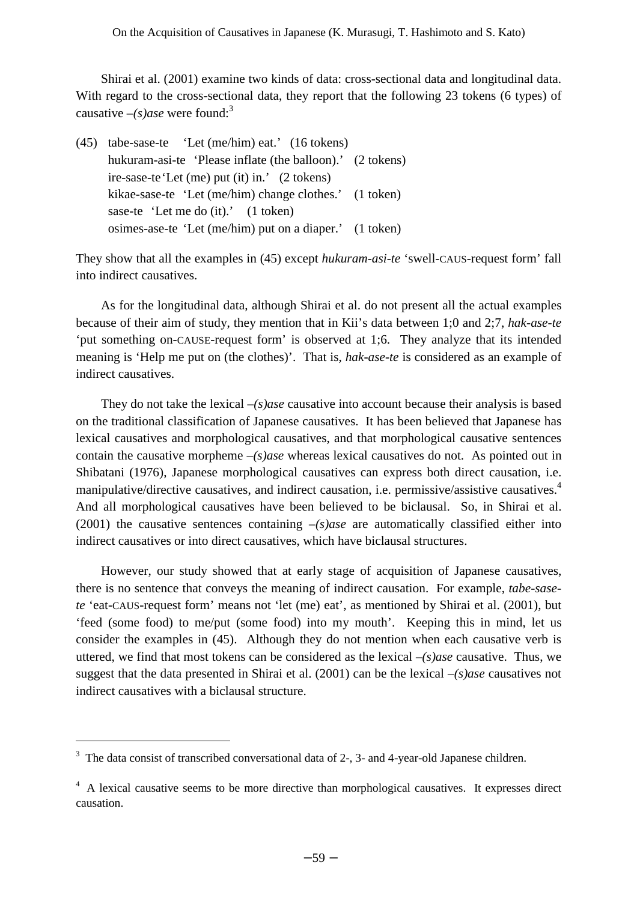Shirai et al. (2001) examine two kinds of data: cross-sectional data and longitudinal data. With regard to the cross-sectional data, they report that the following 23 tokens (6 types) of causative  $-(s)$ *ase* were found:<sup>[3](#page-12-0)</sup>

(45) tabe-sase-te 'Let (me/him) eat.' (16 tokens) hukuram-asi-te 'Please inflate (the balloon).' (2 tokens) ire-sase-te 'Let (me) put (it) in.' (2 tokens) kikae-sase-te 'Let (me/him) change clothes.' (1 token) sase-te 'Let me do (it).' (1 token) osimes-ase-te 'Let (me/him) put on a diaper.' (1 token)

They show that all the examples in (45) except *hukuram-asi-te* 'swell-CAUS-request form' fall into indirect causatives.

As for the longitudinal data, although Shirai et al. do not present all the actual examples because of their aim of study, they mention that in Kii's data between 1;0 and 2;7, *hak-ase-te* 'put something on-CAUSE-request form' is observed at 1;6. They analyze that its intended meaning is 'Help me put on (the clothes)'. That is, *hak-ase-te* is considered as an example of indirect causatives.

They do not take the lexical *–(s)ase* causative into account because their analysis is based on the traditional classification of Japanese causatives. It has been believed that Japanese has lexical causatives and morphological causatives, and that morphological causative sentences contain the causative morpheme *–(s)ase* whereas lexical causatives do not. As pointed out in Shibatani (1976), Japanese morphological causatives can express both direct causation, i.e. manipulative/directive causatives, and indirect causation, i.e. permissive/assistive causatives.<sup>[4](#page-12-1)</sup> And all morphological causatives have been believed to be biclausal. So, in Shirai et al. (2001) the causative sentences containing *–(s)ase* are automatically classified either into indirect causatives or into direct causatives, which have biclausal structures.

However, our study showed that at early stage of acquisition of Japanese causatives, there is no sentence that conveys the meaning of indirect causation. For example, *tabe-sasete* 'eat-CAUS-request form' means not 'let (me) eat', as mentioned by Shirai et al. (2001), but 'feed (some food) to me/put (some food) into my mouth'. Keeping this in mind, let us consider the examples in (45). Although they do not mention when each causative verb is uttered, we find that most tokens can be considered as the lexical *–(s)ase* causative. Thus, we suggest that the data presented in Shirai et al. (2001) can be the lexical *–(s)ase* causatives not indirect causatives with a biclausal structure.

 $\overline{a}$ 

<span id="page-12-0"></span><sup>&</sup>lt;sup>3</sup> The data consist of transcribed conversational data of 2-, 3- and 4-year-old Japanese children.

<span id="page-12-1"></span><sup>&</sup>lt;sup>4</sup> A lexical causative seems to be more directive than morphological causatives. It expresses direct causation.